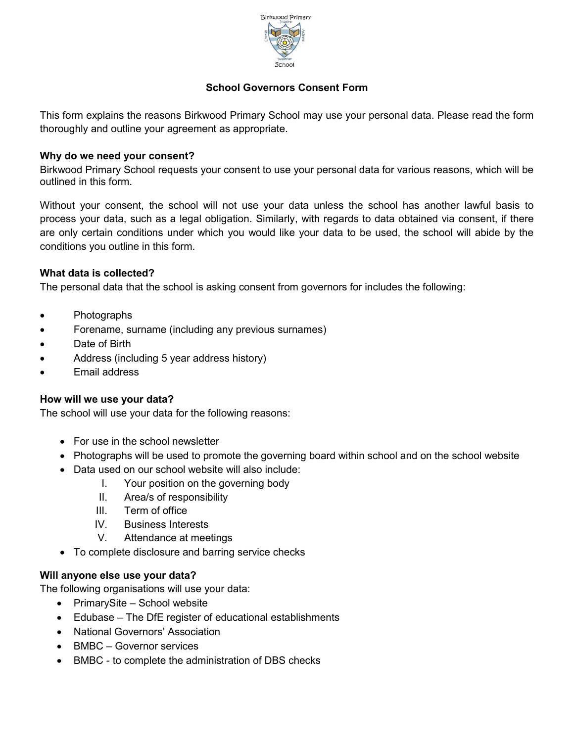

# **School Governors Consent Form**

This form explains the reasons Birkwood Primary School may use your personal data. Please read the form thoroughly and outline your agreement as appropriate.

## **Why do we need your consent?**

Birkwood Primary School requests your consent to use your personal data for various reasons, which will be outlined in this form.

Without your consent, the school will not use your data unless the school has another lawful basis to process your data, such as a legal obligation. Similarly, with regards to data obtained via consent, if there are only certain conditions under which you would like your data to be used, the school will abide by the conditions you outline in this form.

### **What data is collected?**

The personal data that the school is asking consent from governors for includes the following:

- Photographs
- Forename, surname (including any previous surnames)
- Date of Birth
- Address (including 5 year address history)
- Email address

#### **How will we use your data?**

The school will use your data for the following reasons:

- For use in the school newsletter
- Photographs will be used to promote the governing board within school and on the school website
- Data used on our school website will also include:
	- I. Your position on the governing body
	- II. Area/s of responsibility
	- III. Term of office
	- IV. Business Interests
	- V. Attendance at meetings
- To complete disclosure and barring service checks

#### **Will anyone else use your data?**

The following organisations will use your data:

- PrimarySite School website
- Edubase The DfE register of educational establishments
- National Governors' Association
- BMBC Governor services
- BMBC to complete the administration of DBS checks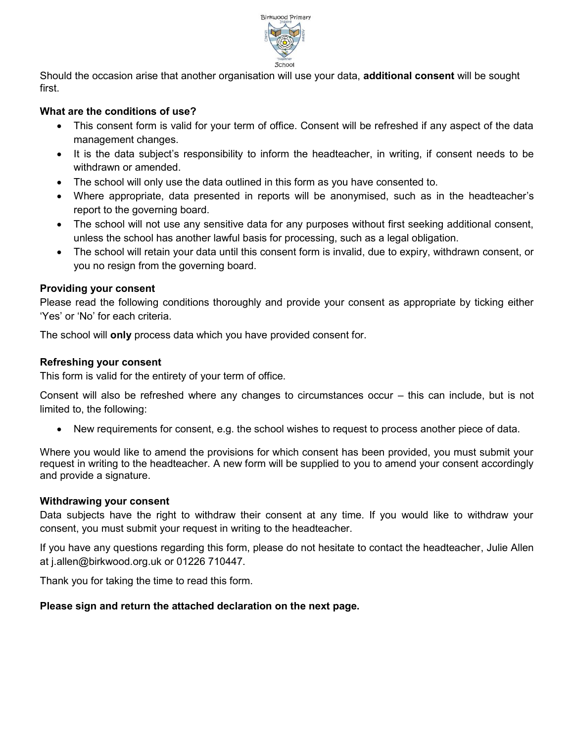

Should the occasion arise that another organisation will use your data, **additional consent** will be sought first.

## **What are the conditions of use?**

- This consent form is valid for your term of office. Consent will be refreshed if any aspect of the data management changes.
- It is the data subject's responsibility to inform the headteacher, in writing, if consent needs to be withdrawn or amended.
- The school will only use the data outlined in this form as you have consented to.
- Where appropriate, data presented in reports will be anonymised, such as in the headteacher's report to the governing board.
- The school will not use any sensitive data for any purposes without first seeking additional consent, unless the school has another lawful basis for processing, such as a legal obligation.
- The school will retain your data until this consent form is invalid, due to expiry, withdrawn consent, or you no resign from the governing board.

## **Providing your consent**

Please read the following conditions thoroughly and provide your consent as appropriate by ticking either 'Yes' or 'No' for each criteria.

The school will **only** process data which you have provided consent for.

### **Refreshing your consent**

This form is valid for the entirety of your term of office.

Consent will also be refreshed where any changes to circumstances occur – this can include, but is not limited to, the following:

New requirements for consent, e.g. the school wishes to request to process another piece of data.

Where you would like to amend the provisions for which consent has been provided, you must submit your request in writing to the headteacher. A new form will be supplied to you to amend your consent accordingly and provide a signature.

#### **Withdrawing your consent**

Data subjects have the right to withdraw their consent at any time. If you would like to withdraw your consent, you must submit your request in writing to the headteacher.

If you have any questions regarding this form, please do not hesitate to contact the headteacher, Julie Allen at j.allen@birkwood.org.uk or 01226 710447.

Thank you for taking the time to read this form.

## **Please sign and return the attached declaration on the next page.**